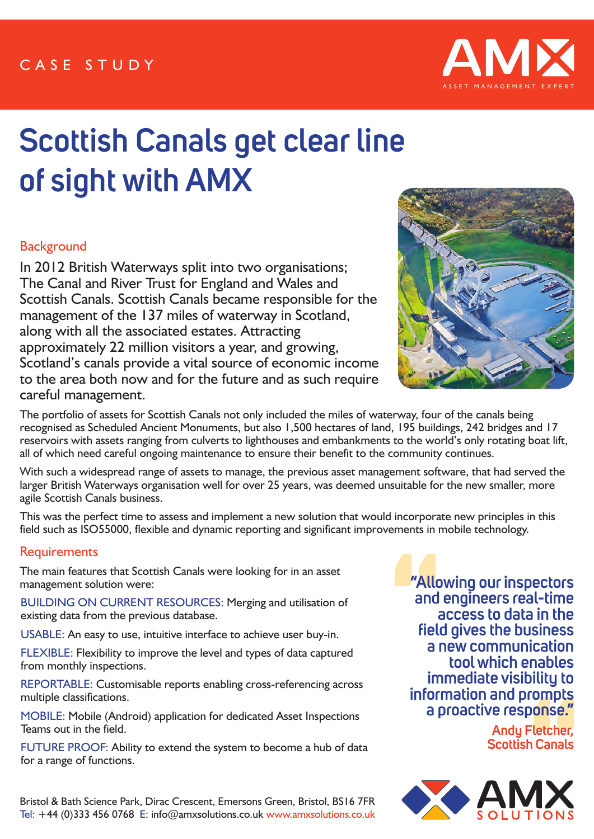

# **Scottish Canals get clear line of sight with AMX**

## **Background**

In 2012 British Waterways split into two organisations; The Canal and River Trust for England and Wales and Scottish Canals. Scottish Canals became responsible for the management of the 137 miles of waterway in Scotland, along with all the associated estates. Attracting approximately 22 million visitors a year, and growing, Scotland's canals provide a vital source of economic income to the area both now and for the future and as such require careful management.



The portfolio of assets for Scottish Canals not only included the miles of waterway, four of the canals being recognised as Scheduled Ancient Monuments, but also 1,500 hectares of land, 195 buildings, 242 bridges and 17 reservoirs with assets ranging from culverts to lighthouses and embankments to the world's only rotating boat lift, all of which need careful ongoing maintenance to ensure their benefit to the community continues.

With such a widespread range of assets to manage, the previous asset management software, that had served the larger British Waterways organisation well for over 25 years, was deemed unsuitable for the new smaller, more agile Scottish Canals business.

This was the perfect time to assess and implement a new solution that would incorporate new principles in this field such as ISO55000, flexible and dynamic reporting and significant improvements in mobile technology.

## **Requirements**

The main features that Scottish Canals were looking for in an asset management solution were:

BUILDING ON CURRENT RESOURCES: Merging and utilisation of existing data from the previous database.

USABLE: An easy to use, intuitive interface to achieve user buy-in.

FLEXIBLE: Flexibility to improve the level and types of data captured from monthly inspections.

REPORTABLE: Customisable reports enabling cross-referencing across multiple classifications.

MOBILE: Mobile (Android) application for dedicated Asset Inspections Teams out in the field.

FUTURE PROOF: Ability to extend the system to become a hub of data for a range of functions.

Bristol & Bath Science Park, Dirac Crescent, Emersons Green, Bristol, BS16 7FR Tel: +44 (0)333 456 0768 E: info@amxsolutions.co.uk www.amxsolutions.co.uk

**"Allowing our inspectors and engineers real-time access to data in the field gives the business a new communication tool which enables immediate visibility to information and prompts a proactive response."** 

> **Andy Fletcher, Scottish Canals**